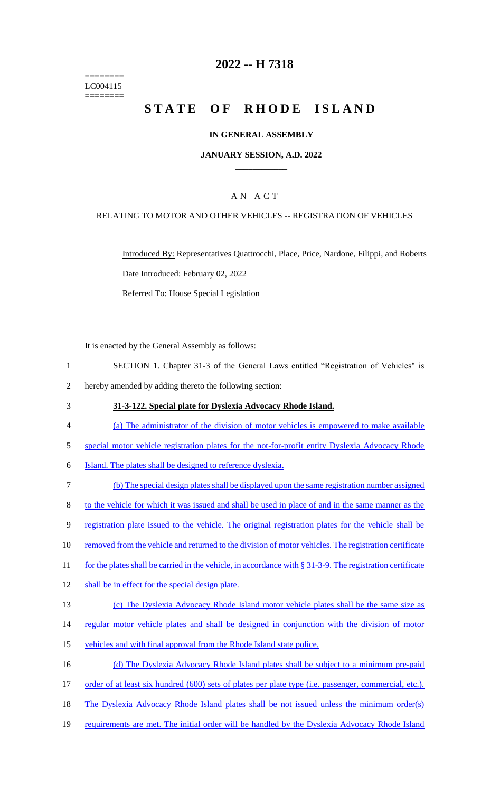======== LC004115 ========

# **2022 -- H 7318**

# **STATE OF RHODE ISLAND**

### **IN GENERAL ASSEMBLY**

### **JANUARY SESSION, A.D. 2022 \_\_\_\_\_\_\_\_\_\_\_\_**

### A N A C T

### RELATING TO MOTOR AND OTHER VEHICLES -- REGISTRATION OF VEHICLES

Introduced By: Representatives Quattrocchi, Place, Price, Nardone, Filippi, and Roberts Date Introduced: February 02, 2022 Referred To: House Special Legislation

It is enacted by the General Assembly as follows:

- 1 SECTION 1. Chapter 31-3 of the General Laws entitled "Registration of Vehicles" is 2 hereby amended by adding thereto the following section:
- 3 **31-3-122. Special plate for Dyslexia Advocacy Rhode Island.**
- 4 (a) The administrator of the division of motor vehicles is empowered to make available
- 5 special motor vehicle registration plates for the not-for-profit entity Dyslexia Advocacy Rhode
- 6 Island. The plates shall be designed to reference dyslexia.
- 7 (b) The special design plates shall be displayed upon the same registration number assigned 8 to the vehicle for which it was issued and shall be used in place of and in the same manner as the 9 registration plate issued to the vehicle. The original registration plates for the vehicle shall be 10 removed from the vehicle and returned to the division of motor vehicles. The registration certificate 11 for the plates shall be carried in the vehicle, in accordance with § 31-3-9. The registration certificate 12 shall be in effect for the special design plate. 13 (c) The Dyslexia Advocacy Rhode Island motor vehicle plates shall be the same size as 14 regular motor vehicle plates and shall be designed in conjunction with the division of motor 15 vehicles and with final approval from the Rhode Island state police. 16 (d) The Dyslexia Advocacy Rhode Island plates shall be subject to a minimum pre-paid 17 order of at least six hundred (600) sets of plates per plate type (i.e. passenger, commercial, etc.). 18 The Dyslexia Advocacy Rhode Island plates shall be not issued unless the minimum order(s)
- 
- 19 requirements are met. The initial order will be handled by the Dyslexia Advocacy Rhode Island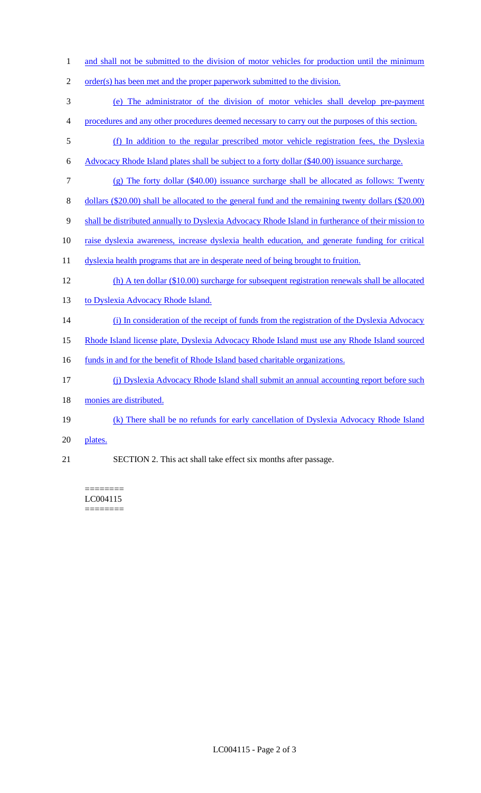- 1 and shall not be submitted to the division of motor vehicles for production until the minimum
- 2 order(s) has been met and the proper paperwork submitted to the division.
- 3 (e) The administrator of the division of motor vehicles shall develop pre-payment
- 4 procedures and any other procedures deemed necessary to carry out the purposes of this section.
- 5 (f) In addition to the regular prescribed motor vehicle registration fees, the Dyslexia
- 6 Advocacy Rhode Island plates shall be subject to a forty dollar (\$40.00) issuance surcharge.
- 7 (g) The forty dollar (\$40.00) issuance surcharge shall be allocated as follows: Twenty
- 8 dollars (\$20.00) shall be allocated to the general fund and the remaining twenty dollars (\$20.00)
- 9 shall be distributed annually to Dyslexia Advocacy Rhode Island in furtherance of their mission to
- 10 raise dyslexia awareness, increase dyslexia health education, and generate funding for critical
- 11 dyslexia health programs that are in desperate need of being brought to fruition.
- 12 (h) A ten dollar (\$10.00) surcharge for subsequent registration renewals shall be allocated
- 13 to Dyslexia Advocacy Rhode Island.
- 14 (i) In consideration of the receipt of funds from the registration of the Dyslexia Advocacy
- 15 Rhode Island license plate, Dyslexia Advocacy Rhode Island must use any Rhode Island sourced
- 16 funds in and for the benefit of Rhode Island based charitable organizations.
- 17 (j) Dyslexia Advocacy Rhode Island shall submit an annual accounting report before such
- 18 monies are distributed.
- 19 (k) There shall be no refunds for early cancellation of Dyslexia Advocacy Rhode Island
- 20 plates.
- 21 SECTION 2. This act shall take effect six months after passage.

#### ======== LC004115 ========